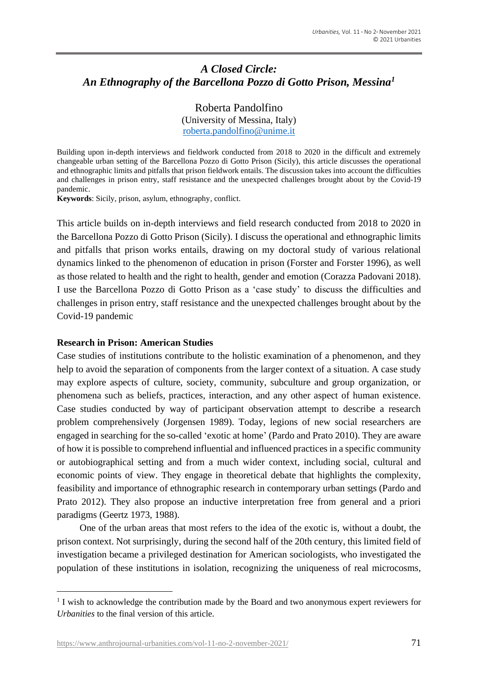# *A Closed Circle: An Ethnography of the Barcellona Pozzo di Gotto Prison, Messina<sup>1</sup>*

Roberta Pandolfino (University of Messina, Italy) [roberta.pandolfino@unime.it](mailto:roberta.pandolfino@unime.it)

Building upon in-depth interviews and fieldwork conducted from 2018 to 2020 in the difficult and extremely changeable urban setting of the Barcellona Pozzo di Gotto Prison (Sicily), this article discusses the operational and ethnographic limits and pitfalls that prison fieldwork entails. The discussion takes into account the difficulties and challenges in prison entry, staff resistance and the unexpected challenges brought about by the Covid-19 pandemic.

**Keywords**: Sicily, prison, asylum, ethnography, conflict.

This article builds on in-depth interviews and field research conducted from 2018 to 2020 in the Barcellona Pozzo di Gotto Prison (Sicily). I discuss the operational and ethnographic limits and pitfalls that prison works entails, drawing on my doctoral study of various relational dynamics linked to the phenomenon of education in prison (Forster and Forster 1996), as well as those related to health and the right to health, gender and emotion (Corazza Padovani 2018). I use the Barcellona Pozzo di Gotto Prison as a 'case study' to discuss the difficulties and challenges in prison entry, staff resistance and the unexpected challenges brought about by the Covid-19 pandemic

## **Research in Prison: American Studies**

Case studies of institutions contribute to the holistic examination of a phenomenon, and they help to avoid the separation of components from the larger context of a situation. A case study may explore aspects of culture, society, community, subculture and group organization, or phenomena such as beliefs, practices, interaction, and any other aspect of human existence. Case studies conducted by way of participant observation attempt to describe a research problem comprehensively (Jorgensen 1989). Today, legions of new social researchers are engaged in searching for the so-called 'exotic at home' (Pardo and Prato 2010). They are aware of how it is possible to comprehend influential and influenced practices in a specific community or autobiographical setting and from a much wider context, including social, cultural and economic points of view. They engage in theoretical debate that highlights the complexity, feasibility and importance of ethnographic research in contemporary urban settings (Pardo and Prato 2012). They also propose an inductive interpretation free from general and a priori paradigms (Geertz 1973, 1988).

One of the urban areas that most refers to the idea of the exotic is, without a doubt, the prison context. Not surprisingly, during the second half of the 20th century, this limited field of investigation became a privileged destination for American sociologists, who investigated the population of these institutions in isolation, recognizing the uniqueness of real microcosms,

<sup>&</sup>lt;sup>1</sup> I wish to acknowledge the contribution made by the Board and two anonymous expert reviewers for *Urbanities* to the final version of this article.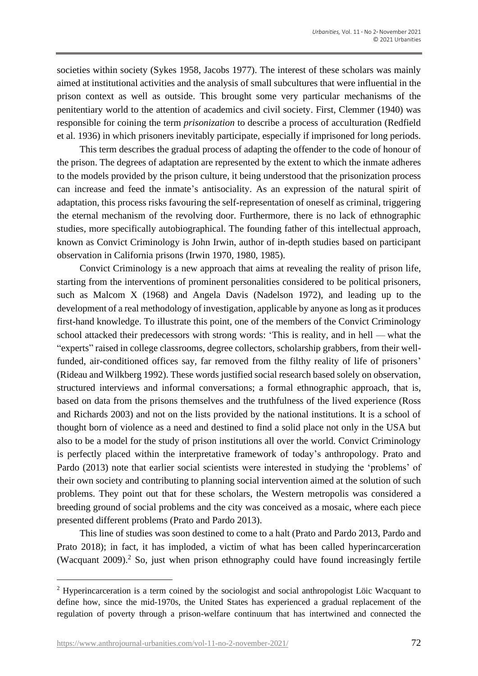societies within society (Sykes 1958, Jacobs 1977). The interest of these scholars was mainly aimed at institutional activities and the analysis of small subcultures that were influential in the prison context as well as outside. This brought some very particular mechanisms of the penitentiary world to the attention of academics and civil society. First, Clemmer (1940) was responsible for coining the term *prisonization* to describe a process of acculturation (Redfield et al. 1936) in which prisoners inevitably participate, especially if imprisoned for long periods.

This term describes the gradual process of adapting the offender to the code of honour of the prison. The degrees of adaptation are represented by the extent to which the inmate adheres to the models provided by the prison culture, it being understood that the prisonization process can increase and feed the inmate's antisociality. As an expression of the natural spirit of adaptation, this process risks favouring the self-representation of oneself as criminal, triggering the eternal mechanism of the revolving door. Furthermore, there is no lack of ethnographic studies, more specifically autobiographical. The founding father of this intellectual approach, known as Convict Criminology is John Irwin, author of in-depth studies based on participant observation in California prisons (Irwin 1970, 1980, 1985).

Convict Criminology is a new approach that aims at revealing the reality of prison life, starting from the interventions of prominent personalities considered to be political prisoners, such as Malcom X (1968) and Angela Davis (Nadelson 1972), and leading up to the development of a real methodology of investigation, applicable by anyone as long as it produces first-hand knowledge. To illustrate this point, one of the members of the Convict Criminology school attacked their predecessors with strong words: 'This is reality, and in hell — what the "experts" raised in college classrooms, degree collectors, scholarship grabbers, from their wellfunded, air-conditioned offices say, far removed from the filthy reality of life of prisoners' (Rideau and Wilkberg 1992). These words justified social research based solely on observation, structured interviews and informal conversations; a formal ethnographic approach, that is, based on data from the prisons themselves and the truthfulness of the lived experience (Ross and Richards 2003) and not on the lists provided by the national institutions. It is a school of thought born of violence as a need and destined to find a solid place not only in the USA but also to be a model for the study of prison institutions all over the world. Convict Criminology is perfectly placed within the interpretative framework of today's anthropology. Prato and Pardo (2013) note that earlier social scientists were interested in studying the 'problems' of their own society and contributing to planning social intervention aimed at the solution of such problems. They point out that for these scholars, the Western metropolis was considered a breeding ground of social problems and the city was conceived as a mosaic, where each piece presented different problems (Prato and Pardo 2013).

This line of studies was soon destined to come to a halt (Prato and Pardo 2013, Pardo and Prato 2018); in fact, it has imploded, a victim of what has been called hyperincarceration (Wacquant 2009). <sup>2</sup> So, just when prison ethnography could have found increasingly fertile

<sup>&</sup>lt;sup>2</sup> Hyperincarceration is a term coined by the sociologist and social anthropologist Löic Wacquant to define how, since the mid-1970s, the United States has experienced a gradual replacement of the regulation of poverty through a prison-welfare continuum that has intertwined and connected the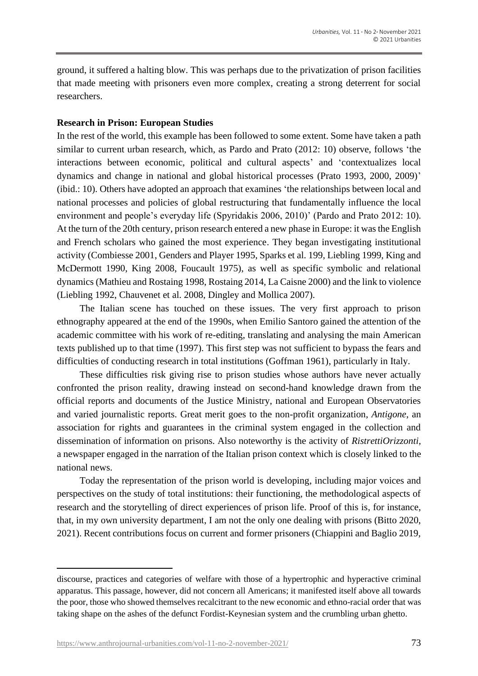ground, it suffered a halting blow. This was perhaps due to the privatization of prison facilities that made meeting with prisoners even more complex, creating a strong deterrent for social researchers.

# **Research in Prison: European Studies**

In the rest of the world, this example has been followed to some extent. Some have taken a path similar to current urban research, which, as Pardo and Prato (2012: 10) observe, follows 'the interactions between economic, political and cultural aspects' and 'contextualizes local dynamics and change in national and global historical processes (Prato 1993, 2000, 2009)' (ibid.: 10). Others have adopted an approach that examines 'the relationships between local and national processes and policies of global restructuring that fundamentally influence the local environment and people's everyday life (Spyridakis 2006, 2010)' (Pardo and Prato 2012: 10). At the turn of the 20th century, prison research entered a new phase in Europe: it was the English and French scholars who gained the most experience. They began investigating institutional activity (Combiesse 2001, Genders and Player 1995, Sparks et al. 199, Liebling 1999, King and McDermott 1990, King 2008, Foucault 1975), as well as specific symbolic and relational dynamics (Mathieu and Rostaing 1998, Rostaing 2014, La Caisne 2000) and the link to violence (Liebling 1992, Chauvenet et al. 2008, Dingley and Mollica 2007).

The Italian scene has touched on these issues. The very first approach to prison ethnography appeared at the end of the 1990s, when Emilio Santoro gained the attention of the academic committee with his work of re-editing, translating and analysing the main American texts published up to that time (1997). This first step was not sufficient to bypass the fears and difficulties of conducting research in total institutions (Goffman 1961), particularly in Italy.

These difficulties risk giving rise to prison studies whose authors have never actually confronted the prison reality, drawing instead on second-hand knowledge drawn from the official reports and documents of the Justice Ministry, national and European Observatories and varied journalistic reports. Great merit goes to the non-profit organization, *Antigone*, an association for rights and guarantees in the criminal system engaged in the collection and dissemination of information on prisons. Also noteworthy is the activity of *RistrettiOrizzonti*, a newspaper engaged in the narration of the Italian prison context which is closely linked to the national news.

Today the representation of the prison world is developing, including major voices and perspectives on the study of total institutions: their functioning, the methodological aspects of research and the storytelling of direct experiences of prison life. Proof of this is, for instance, that, in my own university department, I am not the only one dealing with prisons (Bitto 2020, 2021). Recent contributions focus on current and former prisoners (Chiappini and Baglio 2019,

discourse, practices and categories of welfare with those of a hypertrophic and hyperactive criminal apparatus. This passage, however, did not concern all Americans; it manifested itself above all towards the poor, those who showed themselves recalcitrant to the new economic and ethno-racial order that was taking shape on the ashes of the defunct Fordist-Keynesian system and the crumbling urban ghetto.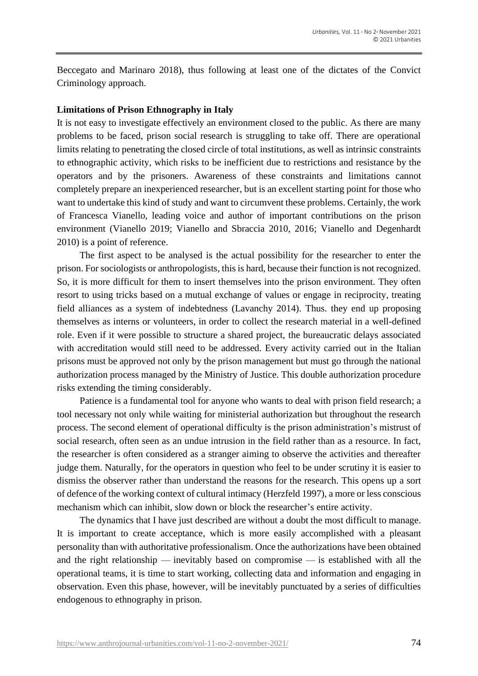Beccegato and Marinaro 2018), thus following at least one of the dictates of the Convict Criminology approach.

#### **Limitations of Prison Ethnography in Italy**

It is not easy to investigate effectively an environment closed to the public. As there are many problems to be faced, prison social research is struggling to take off. There are operational limits relating to penetrating the closed circle of total institutions, as well as intrinsic constraints to ethnographic activity, which risks to be inefficient due to restrictions and resistance by the operators and by the prisoners. Awareness of these constraints and limitations cannot completely prepare an inexperienced researcher, but is an excellent starting point for those who want to undertake this kind of study and want to circumvent these problems. Certainly, the work of Francesca Vianello, leading voice and author of important contributions on the prison environment (Vianello 2019; Vianello and Sbraccia 2010, 2016; Vianello and Degenhardt 2010) is a point of reference.

The first aspect to be analysed is the actual possibility for the researcher to enter the prison. For sociologists or anthropologists, this is hard, because their function is not recognized. So, it is more difficult for them to insert themselves into the prison environment. They often resort to using tricks based on a mutual exchange of values or engage in reciprocity, treating field alliances as a system of indebtedness (Lavanchy 2014). Thus. they end up proposing themselves as interns or volunteers, in order to collect the research material in a well-defined role. Even if it were possible to structure a shared project, the bureaucratic delays associated with accreditation would still need to be addressed. Every activity carried out in the Italian prisons must be approved not only by the prison management but must go through the national authorization process managed by the Ministry of Justice. This double authorization procedure risks extending the timing considerably.

Patience is a fundamental tool for anyone who wants to deal with prison field research; a tool necessary not only while waiting for ministerial authorization but throughout the research process. The second element of operational difficulty is the prison administration's mistrust of social research, often seen as an undue intrusion in the field rather than as a resource. In fact, the researcher is often considered as a stranger aiming to observe the activities and thereafter judge them. Naturally, for the operators in question who feel to be under scrutiny it is easier to dismiss the observer rather than understand the reasons for the research. This opens up a sort of defence of the working context of cultural intimacy (Herzfeld 1997), a more or less conscious mechanism which can inhibit, slow down or block the researcher's entire activity.

The dynamics that I have just described are without a doubt the most difficult to manage. It is important to create acceptance, which is more easily accomplished with a pleasant personality than with authoritative professionalism. Once the authorizations have been obtained and the right relationship — inevitably based on compromise — is established with all the operational teams, it is time to start working, collecting data and information and engaging in observation. Even this phase, however, will be inevitably punctuated by a series of difficulties endogenous to ethnography in prison.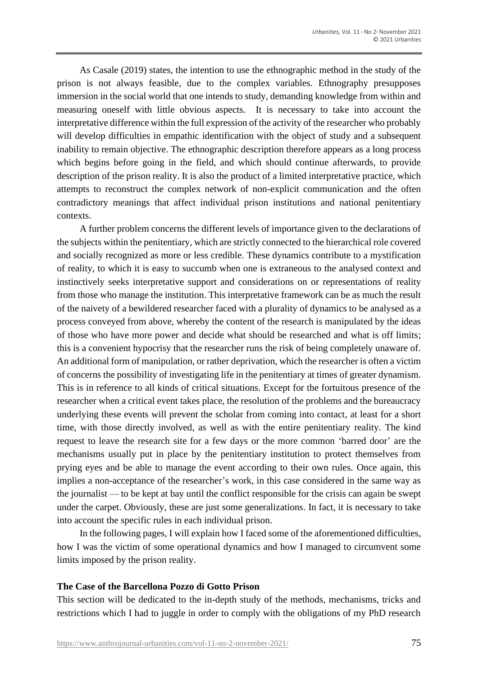As Casale (2019) states, the intention to use the ethnographic method in the study of the prison is not always feasible, due to the complex variables. Ethnography presupposes immersion in the social world that one intends to study, demanding knowledge from within and measuring oneself with little obvious aspects. It is necessary to take into account the interpretative difference within the full expression of the activity of the researcher who probably will develop difficulties in empathic identification with the object of study and a subsequent inability to remain objective. The ethnographic description therefore appears as a long process which begins before going in the field, and which should continue afterwards, to provide description of the prison reality. It is also the product of a limited interpretative practice, which attempts to reconstruct the complex network of non-explicit communication and the often contradictory meanings that affect individual prison institutions and national penitentiary contexts.

A further problem concerns the different levels of importance given to the declarations of the subjects within the penitentiary, which are strictly connected to the hierarchical role covered and socially recognized as more or less credible. These dynamics contribute to a mystification of reality, to which it is easy to succumb when one is extraneous to the analysed context and instinctively seeks interpretative support and considerations on or representations of reality from those who manage the institution. This interpretative framework can be as much the result of the naivety of a bewildered researcher faced with a plurality of dynamics to be analysed as a process conveyed from above, whereby the content of the research is manipulated by the ideas of those who have more power and decide what should be researched and what is off limits; this is a convenient hypocrisy that the researcher runs the risk of being completely unaware of. An additional form of manipulation, or rather deprivation, which the researcher is often a victim of concerns the possibility of investigating life in the penitentiary at times of greater dynamism. This is in reference to all kinds of critical situations. Except for the fortuitous presence of the researcher when a critical event takes place, the resolution of the problems and the bureaucracy underlying these events will prevent the scholar from coming into contact, at least for a short time, with those directly involved, as well as with the entire penitentiary reality. The kind request to leave the research site for a few days or the more common 'barred door' are the mechanisms usually put in place by the penitentiary institution to protect themselves from prying eyes and be able to manage the event according to their own rules. Once again, this implies a non-acceptance of the researcher's work, in this case considered in the same way as the journalist — to be kept at bay until the conflict responsible for the crisis can again be swept under the carpet. Obviously, these are just some generalizations. In fact, it is necessary to take into account the specific rules in each individual prison.

In the following pages, I will explain how I faced some of the aforementioned difficulties, how I was the victim of some operational dynamics and how I managed to circumvent some limits imposed by the prison reality.

# **The Case of the Barcellona Pozzo di Gotto Prison**

This section will be dedicated to the in-depth study of the methods, mechanisms, tricks and restrictions which I had to juggle in order to comply with the obligations of my PhD research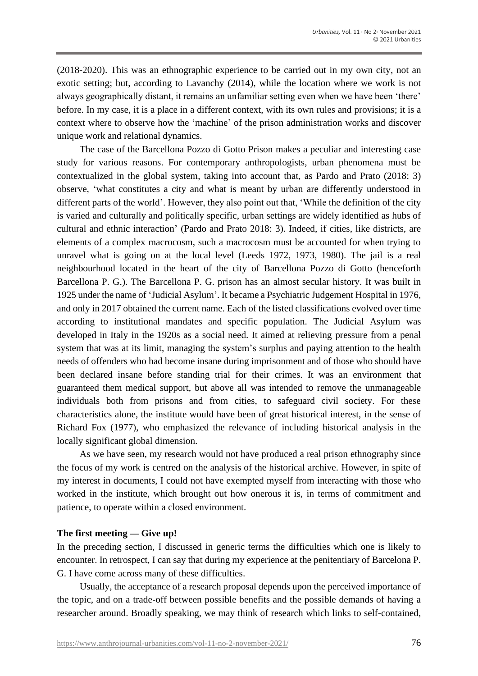(2018-2020). This was an ethnographic experience to be carried out in my own city, not an exotic setting; but, according to Lavanchy (2014), while the location where we work is not always geographically distant, it remains an unfamiliar setting even when we have been 'there' before. In my case, it is a place in a different context, with its own rules and provisions; it is a context where to observe how the 'machine' of the prison administration works and discover unique work and relational dynamics.

The case of the Barcellona Pozzo di Gotto Prison makes a peculiar and interesting case study for various reasons. For contemporary anthropologists, urban phenomena must be contextualized in the global system, taking into account that, as Pardo and Prato (2018: 3) observe, 'what constitutes a city and what is meant by urban are differently understood in different parts of the world'. However, they also point out that, 'While the definition of the city is varied and culturally and politically specific, urban settings are widely identified as hubs of cultural and ethnic interaction' (Pardo and Prato 2018: 3). Indeed, if cities, like districts, are elements of a complex macrocosm, such a macrocosm must be accounted for when trying to unravel what is going on at the local level (Leeds 1972, 1973, 1980). The jail is a real neighbourhood located in the heart of the city of Barcellona Pozzo di Gotto (henceforth Barcellona P. G.). The Barcellona P. G. prison has an almost secular history. It was built in 1925 under the name of 'Judicial Asylum'. It became a Psychiatric Judgement Hospital in 1976, and only in 2017 obtained the current name. Each of the listed classifications evolved over time according to institutional mandates and specific population. The Judicial Asylum was developed in Italy in the 1920s as a social need. It aimed at relieving pressure from a penal system that was at its limit, managing the system's surplus and paying attention to the health needs of offenders who had become insane during imprisonment and of those who should have been declared insane before standing trial for their crimes. It was an environment that guaranteed them medical support, but above all was intended to remove the unmanageable individuals both from prisons and from cities, to safeguard civil society. For these characteristics alone, the institute would have been of great historical interest, in the sense of Richard Fox (1977), who emphasized the relevance of including historical analysis in the locally significant global dimension.

As we have seen, my research would not have produced a real prison ethnography since the focus of my work is centred on the analysis of the historical archive. However, in spite of my interest in documents, I could not have exempted myself from interacting with those who worked in the institute, which brought out how onerous it is, in terms of commitment and patience, to operate within a closed environment.

# **The first meeting — Give up!**

In the preceding section, I discussed in generic terms the difficulties which one is likely to encounter. In retrospect, I can say that during my experience at the penitentiary of Barcelona P. G. I have come across many of these difficulties.

Usually, the acceptance of a research proposal depends upon the perceived importance of the topic, and on a trade-off between possible benefits and the possible demands of having a researcher around. Broadly speaking, we may think of research which links to self-contained,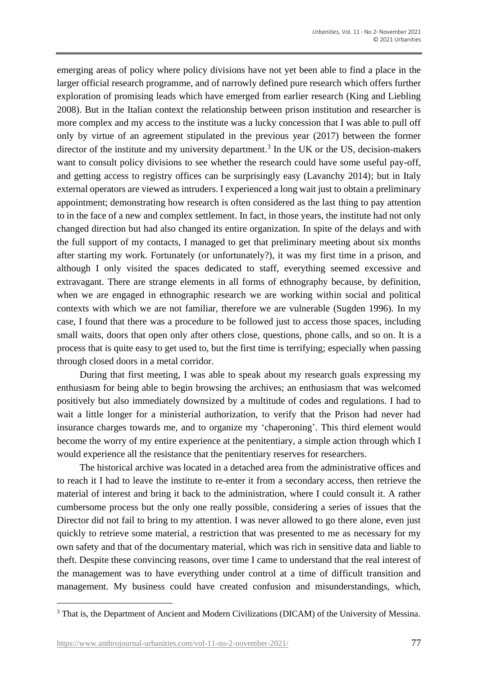emerging areas of policy where policy divisions have not yet been able to find a place in the larger official research programme, and of narrowly defined pure research which offers further exploration of promising leads which have emerged from earlier research (King and Liebling 2008). But in the Italian context the relationship between prison institution and researcher is more complex and my access to the institute was a lucky concession that I was able to pull off only by virtue of an agreement stipulated in the previous year (2017) between the former director of the institute and my university department.<sup>3</sup> In the UK or the US, decision-makers want to consult policy divisions to see whether the research could have some useful pay-off, and getting access to registry offices can be surprisingly easy (Lavanchy 2014); but in Italy external operators are viewed as intruders. I experienced a long wait just to obtain a preliminary appointment; demonstrating how research is often considered as the last thing to pay attention to in the face of a new and complex settlement. In fact, in those years, the institute had not only changed direction but had also changed its entire organization. In spite of the delays and with the full support of my contacts, I managed to get that preliminary meeting about six months after starting my work. Fortunately (or unfortunately?), it was my first time in a prison, and although I only visited the spaces dedicated to staff, everything seemed excessive and extravagant. There are strange elements in all forms of ethnography because, by definition, when we are engaged in ethnographic research we are working within social and political contexts with which we are not familiar, therefore we are vulnerable (Sugden 1996). In my case, I found that there was a procedure to be followed just to access those spaces, including small waits, doors that open only after others close, questions, phone calls, and so on. It is a process that is quite easy to get used to, but the first time is terrifying; especially when passing through closed doors in a metal corridor.

During that first meeting, I was able to speak about my research goals expressing my enthusiasm for being able to begin browsing the archives; an enthusiasm that was welcomed positively but also immediately downsized by a multitude of codes and regulations. I had to wait a little longer for a ministerial authorization, to verify that the Prison had never had insurance charges towards me, and to organize my 'chaperoning'. This third element would become the worry of my entire experience at the penitentiary, a simple action through which I would experience all the resistance that the penitentiary reserves for researchers.

The historical archive was located in a detached area from the administrative offices and to reach it I had to leave the institute to re-enter it from a secondary access, then retrieve the material of interest and bring it back to the administration, where I could consult it. A rather cumbersome process but the only one really possible, considering a series of issues that the Director did not fail to bring to my attention. I was never allowed to go there alone, even just quickly to retrieve some material, a restriction that was presented to me as necessary for my own safety and that of the documentary material, which was rich in sensitive data and liable to theft. Despite these convincing reasons, over time I came to understand that the real interest of the management was to have everything under control at a time of difficult transition and management. My business could have created confusion and misunderstandings, which,

<sup>&</sup>lt;sup>3</sup> That is, the Department of Ancient and Modern Civilizations (DICAM) of the University of Messina.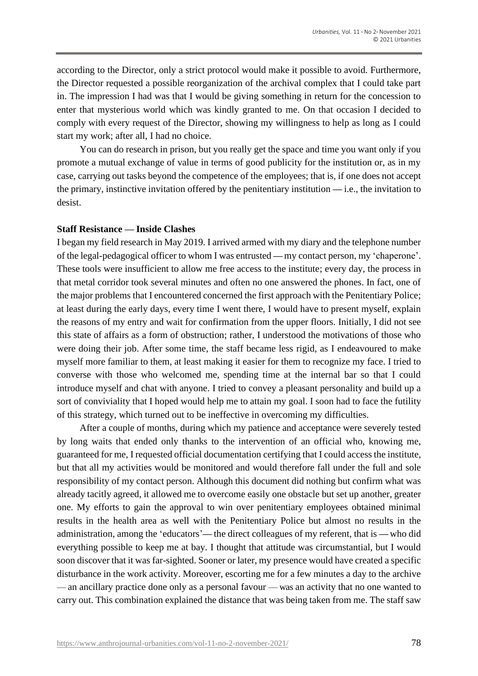according to the Director, only a strict protocol would make it possible to avoid. Furthermore, the Director requested a possible reorganization of the archival complex that I could take part in. The impression I had was that I would be giving something in return for the concession to enter that mysterious world which was kindly granted to me. On that occasion I decided to comply with every request of the Director, showing my willingness to help as long as I could start my work; after all, I had no choice.

You can do research in prison, but you really get the space and time you want only if you promote a mutual exchange of value in terms of good publicity for the institution or, as in my case, carrying out tasks beyond the competence of the employees; that is, if one does not accept the primary, instinctive invitation offered by the penitentiary institution **—** i.e., the invitation to desist.

#### **Staff Resistance — Inside Clashes**

I began my field research in May 2019. I arrived armed with my diary and the telephone number of the legal-pedagogical officer to whom I was entrusted **—** my contact person, my 'chaperone'. These tools were insufficient to allow me free access to the institute; every day, the process in that metal corridor took several minutes and often no one answered the phones. In fact, one of the major problems that I encountered concerned the first approach with the Penitentiary Police; at least during the early days, every time I went there, I would have to present myself, explain the reasons of my entry and wait for confirmation from the upper floors. Initially, I did not see this state of affairs as a form of obstruction; rather, I understood the motivations of those who were doing their job. After some time, the staff became less rigid, as I endeavoured to make myself more familiar to them, at least making it easier for them to recognize my face. I tried to converse with those who welcomed me, spending time at the internal bar so that I could introduce myself and chat with anyone. I tried to convey a pleasant personality and build up a sort of conviviality that I hoped would help me to attain my goal. I soon had to face the futility of this strategy, which turned out to be ineffective in overcoming my difficulties.

After a couple of months, during which my patience and acceptance were severely tested by long waits that ended only thanks to the intervention of an official who, knowing me, guaranteed for me, I requested official documentation certifying that I could access the institute, but that all my activities would be monitored and would therefore fall under the full and sole responsibility of my contact person. Although this document did nothing but confirm what was already tacitly agreed, it allowed me to overcome easily one obstacle but set up another, greater one. My efforts to gain the approval to win over penitentiary employees obtained minimal results in the health area as well with the Penitentiary Police but almost no results in the administration, among the 'educators'**—** the direct colleagues of my referent, that is **—** who did everything possible to keep me at bay. I thought that attitude was circumstantial, but I would soon discover that it was far-sighted. Sooner or later, my presence would have created a specific disturbance in the work activity. Moreover, escorting me for a few minutes a day to the archive — an ancillary practice done only as a personal favour — was an activity that no one wanted to carry out. This combination explained the distance that was being taken from me. The staff saw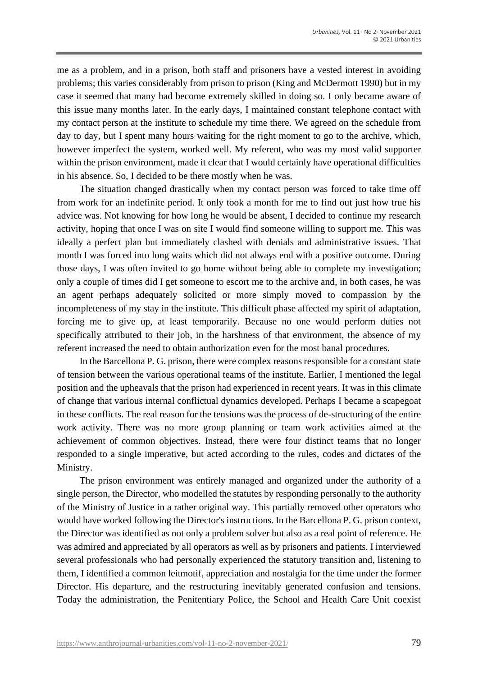me as a problem, and in a prison, both staff and prisoners have a vested interest in avoiding problems; this varies considerably from prison to prison (King and McDermott 1990) but in my case it seemed that many had become extremely skilled in doing so. I only became aware of this issue many months later. In the early days, I maintained constant telephone contact with my contact person at the institute to schedule my time there. We agreed on the schedule from day to day, but I spent many hours waiting for the right moment to go to the archive, which, however imperfect the system, worked well. My referent, who was my most valid supporter within the prison environment, made it clear that I would certainly have operational difficulties in his absence. So, I decided to be there mostly when he was.

The situation changed drastically when my contact person was forced to take time off from work for an indefinite period. It only took a month for me to find out just how true his advice was. Not knowing for how long he would be absent, I decided to continue my research activity, hoping that once I was on site I would find someone willing to support me. This was ideally a perfect plan but immediately clashed with denials and administrative issues. That month I was forced into long waits which did not always end with a positive outcome. During those days, I was often invited to go home without being able to complete my investigation; only a couple of times did I get someone to escort me to the archive and, in both cases, he was an agent perhaps adequately solicited or more simply moved to compassion by the incompleteness of my stay in the institute. This difficult phase affected my spirit of adaptation, forcing me to give up, at least temporarily. Because no one would perform duties not specifically attributed to their job, in the harshness of that environment, the absence of my referent increased the need to obtain authorization even for the most banal procedures.

In the Barcellona P. G. prison, there were complex reasons responsible for a constant state of tension between the various operational teams of the institute. Earlier, I mentioned the legal position and the upheavals that the prison had experienced in recent years. It was in this climate of change that various internal conflictual dynamics developed. Perhaps I became a scapegoat in these conflicts. The real reason for the tensions was the process of de-structuring of the entire work activity. There was no more group planning or team work activities aimed at the achievement of common objectives. Instead, there were four distinct teams that no longer responded to a single imperative, but acted according to the rules, codes and dictates of the Ministry.

The prison environment was entirely managed and organized under the authority of a single person, the Director, who modelled the statutes by responding personally to the authority of the Ministry of Justice in a rather original way. This partially removed other operators who would have worked following the Director's instructions. In the Barcellona P. G. prison context, the Director was identified as not only a problem solver but also as a real point of reference. He was admired and appreciated by all operators as well as by prisoners and patients. I interviewed several professionals who had personally experienced the statutory transition and, listening to them, I identified a common leitmotif, appreciation and nostalgia for the time under the former Director. His departure, and the restructuring inevitably generated confusion and tensions. Today the administration, the Penitentiary Police, the School and Health Care Unit coexist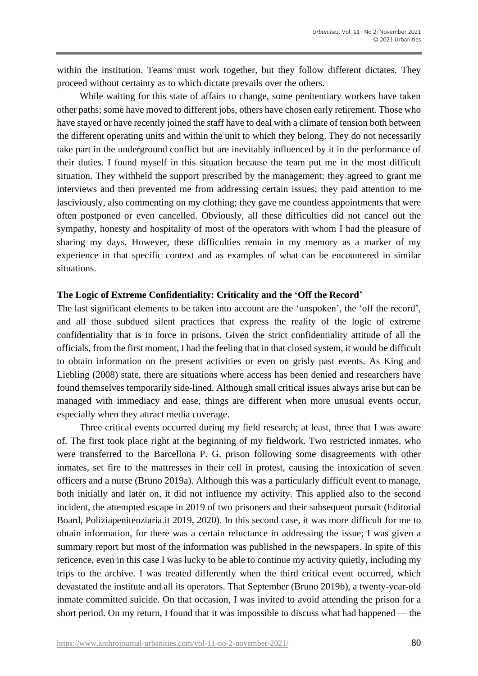within the institution. Teams must work together, but they follow different dictates. They proceed without certainty as to which dictate prevails over the others.

While waiting for this state of affairs to change, some penitentiary workers have taken other paths; some have moved to different jobs, others have chosen early retirement. Those who have stayed or have recently joined the staff have to deal with a climate of tension both between the different operating units and within the unit to which they belong. They do not necessarily take part in the underground conflict but are inevitably influenced by it in the performance of their duties. I found myself in this situation because the team put me in the most difficult situation. They withheld the support prescribed by the management; they agreed to grant me interviews and then prevented me from addressing certain issues; they paid attention to me lasciviously, also commenting on my clothing; they gave me countless appointments that were often postponed or even cancelled. Obviously, all these difficulties did not cancel out the sympathy, honesty and hospitality of most of the operators with whom I had the pleasure of sharing my days. However, these difficulties remain in my memory as a marker of my experience in that specific context and as examples of what can be encountered in similar situations.

### **The Logic of Extreme Confidentiality: Criticality and the 'Off the Record'**

The last significant elements to be taken into account are the 'unspoken', the 'off the record', and all those subdued silent practices that express the reality of the logic of extreme confidentiality that is in force in prisons. Given the strict confidentiality attitude of all the officials, from the first moment, I had the feeling that in that closed system, it would be difficult to obtain information on the present activities or even on grisly past events. As King and Liebling (2008) state, there are situations where access has been denied and researchers have found themselves temporarily side-lined. Although small critical issues always arise but can be managed with immediacy and ease, things are different when more unusual events occur, especially when they attract media coverage.

Three critical events occurred during my field research; at least, three that I was aware of. The first took place right at the beginning of my fieldwork. Two restricted inmates, who were transferred to the Barcellona P. G. prison following some disagreements with other inmates, set fire to the mattresses in their cell in protest, causing the intoxication of seven officers and a nurse (Bruno 2019a). Although this was a particularly difficult event to manage, both initially and later on, it did not influence my activity. This applied also to the second incident, the attempted escape in 2019 of two prisoners and their subsequent pursuit (Editorial Board, Poliziapenitenziaria.it 2019, 2020). In this second case, it was more difficult for me to obtain information, for there was a certain reluctance in addressing the issue; I was given a summary report but most of the information was published in the newspapers. In spite of this reticence, even in this case I was lucky to be able to continue my activity quietly, including my trips to the archive. I was treated differently when the third critical event occurred, which devastated the institute and all its operators. That September (Bruno 2019b), a twenty-year-old inmate committed suicide. On that occasion, I was invited to avoid attending the prison for a short period. On my return, I found that it was impossible to discuss what had happened — the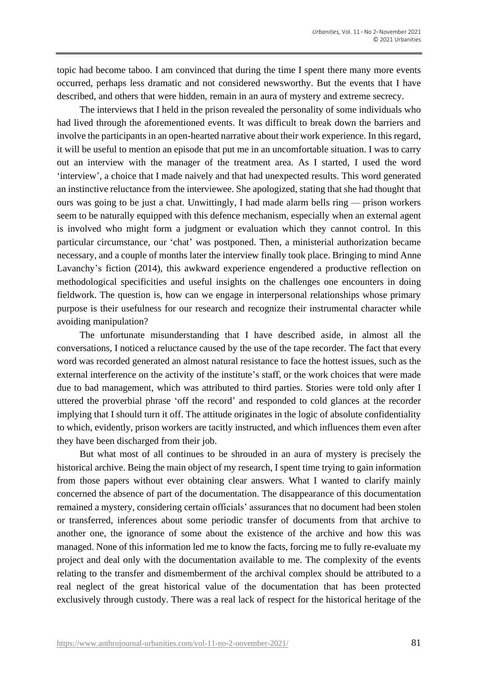topic had become taboo. I am convinced that during the time I spent there many more events occurred, perhaps less dramatic and not considered newsworthy. But the events that I have described, and others that were hidden, remain in an aura of mystery and extreme secrecy.

The interviews that I held in the prison revealed the personality of some individuals who had lived through the aforementioned events. It was difficult to break down the barriers and involve the participants in an open-hearted narrative about their work experience. In this regard, it will be useful to mention an episode that put me in an uncomfortable situation. I was to carry out an interview with the manager of the treatment area. As I started, I used the word 'interview', a choice that I made naively and that had unexpected results. This word generated an instinctive reluctance from the interviewee. She apologized, stating that she had thought that ours was going to be just a chat. Unwittingly, I had made alarm bells ring — prison workers seem to be naturally equipped with this defence mechanism, especially when an external agent is involved who might form a judgment or evaluation which they cannot control. In this particular circumstance, our 'chat' was postponed. Then, a ministerial authorization became necessary, and a couple of months later the interview finally took place. Bringing to mind Anne Lavanchy's fiction (2014), this awkward experience engendered a productive reflection on methodological specificities and useful insights on the challenges one encounters in doing fieldwork. The question is, how can we engage in interpersonal relationships whose primary purpose is their usefulness for our research and recognize their instrumental character while avoiding manipulation?

The unfortunate misunderstanding that I have described aside, in almost all the conversations, I noticed a reluctance caused by the use of the tape recorder. The fact that every word was recorded generated an almost natural resistance to face the hottest issues, such as the external interference on the activity of the institute's staff, or the work choices that were made due to bad management, which was attributed to third parties. Stories were told only after I uttered the proverbial phrase 'off the record' and responded to cold glances at the recorder implying that I should turn it off. The attitude originates in the logic of absolute confidentiality to which, evidently, prison workers are tacitly instructed, and which influences them even after they have been discharged from their job.

But what most of all continues to be shrouded in an aura of mystery is precisely the historical archive. Being the main object of my research, I spent time trying to gain information from those papers without ever obtaining clear answers. What I wanted to clarify mainly concerned the absence of part of the documentation. The disappearance of this documentation remained a mystery, considering certain officials' assurances that no document had been stolen or transferred, inferences about some periodic transfer of documents from that archive to another one, the ignorance of some about the existence of the archive and how this was managed. None of this information led me to know the facts, forcing me to fully re-evaluate my project and deal only with the documentation available to me. The complexity of the events relating to the transfer and dismemberment of the archival complex should be attributed to a real neglect of the great historical value of the documentation that has been protected exclusively through custody. There was a real lack of respect for the historical heritage of the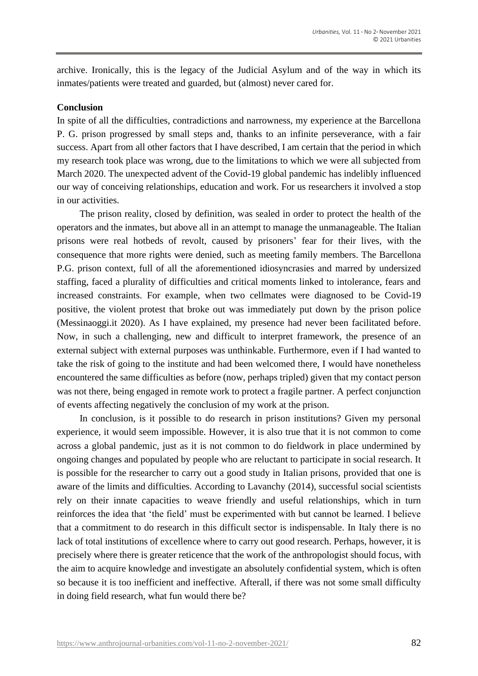archive. Ironically, this is the legacy of the Judicial Asylum and of the way in which its inmates/patients were treated and guarded, but (almost) never cared for.

### **Conclusion**

In spite of all the difficulties, contradictions and narrowness, my experience at the Barcellona P. G. prison progressed by small steps and, thanks to an infinite perseverance, with a fair success. Apart from all other factors that I have described, I am certain that the period in which my research took place was wrong, due to the limitations to which we were all subjected from March 2020. The unexpected advent of the Covid-19 global pandemic has indelibly influenced our way of conceiving relationships, education and work. For us researchers it involved a stop in our activities.

The prison reality, closed by definition, was sealed in order to protect the health of the operators and the inmates, but above all in an attempt to manage the unmanageable. The Italian prisons were real hotbeds of revolt, caused by prisoners' fear for their lives, with the consequence that more rights were denied, such as meeting family members. The Barcellona P.G. prison context, full of all the aforementioned idiosyncrasies and marred by undersized staffing, faced a plurality of difficulties and critical moments linked to intolerance, fears and increased constraints. For example, when two cellmates were diagnosed to be Covid-19 positive, the violent protest that broke out was immediately put down by the prison police (Messinaoggi.it 2020). As I have explained, my presence had never been facilitated before. Now, in such a challenging, new and difficult to interpret framework, the presence of an external subject with external purposes was unthinkable. Furthermore, even if I had wanted to take the risk of going to the institute and had been welcomed there, I would have nonetheless encountered the same difficulties as before (now, perhaps tripled) given that my contact person was not there, being engaged in remote work to protect a fragile partner. A perfect conjunction of events affecting negatively the conclusion of my work at the prison.

In conclusion, is it possible to do research in prison institutions? Given my personal experience, it would seem impossible. However, it is also true that it is not common to come across a global pandemic, just as it is not common to do fieldwork in place undermined by ongoing changes and populated by people who are reluctant to participate in social research. It is possible for the researcher to carry out a good study in Italian prisons, provided that one is aware of the limits and difficulties. According to Lavanchy (2014), successful social scientists rely on their innate capacities to weave friendly and useful relationships, which in turn reinforces the idea that 'the field' must be experimented with but cannot be learned. I believe that a commitment to do research in this difficult sector is indispensable. In Italy there is no lack of total institutions of excellence where to carry out good research. Perhaps, however, it is precisely where there is greater reticence that the work of the anthropologist should focus, with the aim to acquire knowledge and investigate an absolutely confidential system, which is often so because it is too inefficient and ineffective. Afterall, if there was not some small difficulty in doing field research, what fun would there be?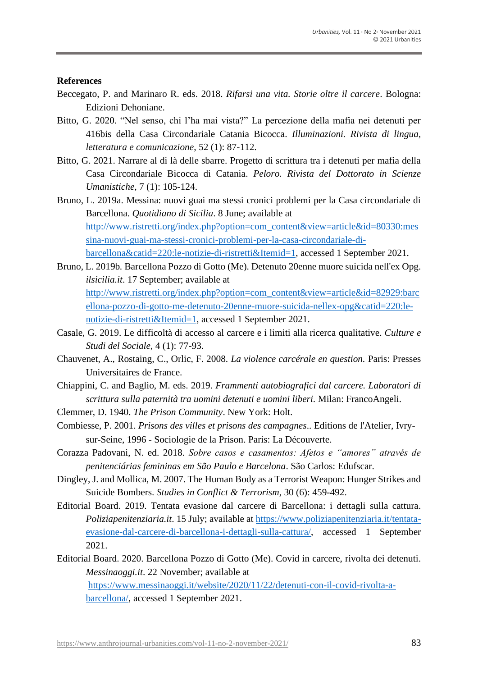#### **References**

- Beccegato, P. and Marinaro R. eds. 2018. *Rifarsi una vita. Storie oltre il carcere*. Bologna: Edizioni Dehoniane.
- Bitto, G. 2020. "Nel senso, chi l'ha mai vista?" La percezione della mafia nei detenuti per 416bis della Casa Circondariale Catania Bicocca. *Illuminazioni. Rivista di lingua, letteratura e comunicazione*, 52 (1): 87-112.
- Bitto, G. 2021. Narrare al di là delle sbarre. Progetto di scrittura tra i detenuti per mafia della Casa Circondariale Bicocca di Catania. *Peloro. Rivista del Dottorato in Scienze Umanistiche*, 7 (1): 105-124.
- Bruno, L. 2019a. Messina: nuovi guai ma stessi cronici problemi per la Casa circondariale di Barcellona. *Quotidiano di Sicilia*. 8 June; available at [http://www.ristretti.org/index.php?option=com\\_content&view=article&id=80330:mes](http://www.ristretti.org/index.php?option=com_content&view=article&id=80330:messina-nuovi-guai-ma-stessi-cronici-problemi-per-la-casa-circondariale-di-barcellona&catid=220:le-notizie-di-ristretti&Itemid=1) [sina-nuovi-guai-ma-stessi-cronici-problemi-per-la-casa-circondariale-di](http://www.ristretti.org/index.php?option=com_content&view=article&id=80330:messina-nuovi-guai-ma-stessi-cronici-problemi-per-la-casa-circondariale-di-barcellona&catid=220:le-notizie-di-ristretti&Itemid=1)[barcellona&catid=220:le-notizie-di-ristretti&Itemid=1,](http://www.ristretti.org/index.php?option=com_content&view=article&id=80330:messina-nuovi-guai-ma-stessi-cronici-problemi-per-la-casa-circondariale-di-barcellona&catid=220:le-notizie-di-ristretti&Itemid=1) accessed 1 September 2021.
- Bruno, L. 2019b*.* Barcellona Pozzo di Gotto (Me). Detenuto 20enne muore suicida nell'ex Opg. *ilsicilia.it*. 17 September; available at [http://www.ristretti.org/index.php?option=com\\_content&view=article&id=82929:barc](http://www.ristretti.org/index.php?option=com_content&view=article&id=82929:barcellona-pozzo-di-gotto-me-detenuto-20enne-muore-suicida-nellex-opg&catid=220:le-notizie-di-ristretti&Itemid=1) [ellona-pozzo-di-gotto-me-detenuto-20enne-muore-suicida-nellex-opg&catid=220:le](http://www.ristretti.org/index.php?option=com_content&view=article&id=82929:barcellona-pozzo-di-gotto-me-detenuto-20enne-muore-suicida-nellex-opg&catid=220:le-notizie-di-ristretti&Itemid=1)[notizie-di-ristretti&Itemid=1,](http://www.ristretti.org/index.php?option=com_content&view=article&id=82929:barcellona-pozzo-di-gotto-me-detenuto-20enne-muore-suicida-nellex-opg&catid=220:le-notizie-di-ristretti&Itemid=1) accessed 1 September 2021.
- Casale, G. 2019. Le difficoltà di accesso al carcere e i limiti alla ricerca qualitative. *Culture e Studi del Sociale*, 4 (1): 77-93.
- Chauvenet, A., Rostaing, C., Orlic, F. 2008. *La violence carcérale en question.* Paris: Presses Universitaires de France.
- Chiappini, C. and Baglio, M. eds. 2019. *Frammenti autobiografici dal carcere. Laboratori di scrittura sulla paternità tra uomini detenuti e uomini liberi.* Milan: FrancoAngeli.
- Clemmer, D. 1940. *The Prison Community*. New York: Holt.
- Combiesse, P. 2001. *Prisons des villes et prisons des campagnes*.. Editions de l'Atelier, Ivrysur-Seine, 1996 - Sociologie de la Prison. Paris: La Découverte.
- Corazza Padovani, N. ed. 2018. *Sobre casos e casamentos: Afetos e "amores" através de penitenciárias femininas em São Paulo e Barcelona*. São Carlos: Edufscar.
- Dingley, J. and Mollica, M. 2007. The Human Body as a Terrorist Weapon: Hunger Strikes and Suicide Bombers. *Studies in Conflict & Terrorism*, 30 (6): 459-492.
- Editorial Board. 2019. Tentata evasione dal carcere di Barcellona: i dettagli sulla cattura. *Poliziapenitenziaria.it*. 15 July; available at [https://www.poliziapenitenziaria.it/tentata](https://www.poliziapenitenziaria.it/tentata-evasione-dal-carcere-di-barcellona-i-dettagli-sulla-cattura/)[evasione-dal-carcere-di-barcellona-i-dettagli-sulla-cattura/,](https://www.poliziapenitenziaria.it/tentata-evasione-dal-carcere-di-barcellona-i-dettagli-sulla-cattura/) accessed 1 September 2021.
- Editorial Board. 2020. Barcellona Pozzo di Gotto (Me). Covid in carcere, rivolta dei detenuti. *Messinaoggi.it*. 22 November; available at [https://www.messinaoggi.it/website/2020/11/22/detenuti-con-il-covid-rivolta-a-](https://www.messinaoggi.it/website/2020/11/22/detenuti-con-il-covid-rivolta-a-barcellona/)

[barcellona/,](https://www.messinaoggi.it/website/2020/11/22/detenuti-con-il-covid-rivolta-a-barcellona/) accessed 1 September 2021.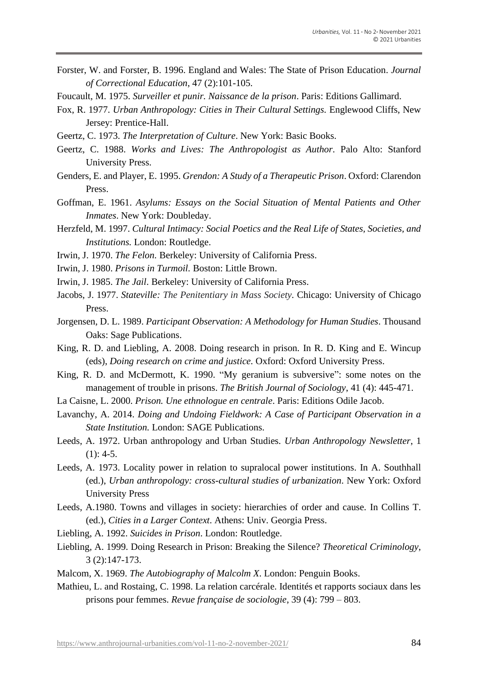- Forster, W. and Forster, B. 1996. England and Wales: The State of Prison Education. *Journal of Correctional Education*, 47 (2):101-105.
- Foucault, M. 1975. *Surveiller et punir. Naissance de la prison*. Paris: Editions Gallimard.
- Fox, R. 1977. *Urban Anthropology: Cities in Their Cultural Settings.* Englewood Cliffs, New Jersey: Prentice-Hall.
- Geertz, C. 1973. *The Interpretation of Culture*. New York: Basic Books.
- Geertz, C. 1988. *Works and Lives: The Anthropologist as Author.* Palo Alto: Stanford University Press.
- Genders, E. and Player, E. 1995. *Grendon: A Study of a Therapeutic Prison*. Oxford: Clarendon Press.
- Goffman, E. 1961. *Asylums: Essays on the Social Situation of Mental Patients and Other Inmates*. New York: Doubleday.
- Herzfeld, M. 1997. *Cultural Intimacy: Social Poetics and the Real Life of States, Societies, and Institutions.* London: Routledge.
- Irwin, J. 1970. *The Felon.* Berkeley: University of California Press.
- Irwin, J. 1980. *Prisons in Turmoil.* Boston: Little Brown.
- Irwin, J. 1985. *The Jail*. Berkeley: University of California Press.
- Jacobs, J. 1977. *Stateville: The Penitentiary in Mass Society.* Chicago: University of Chicago Press.
- Jorgensen, D. L. 1989. *Participant Observation: A Methodology for Human Studies*. Thousand Oaks: Sage Publications.
- King, R. D. and Liebling, A. 2008. Doing research in prison*.* In R. D. King and E. Wincup (eds), *Doing research on crime and justice.* Oxford: Oxford University Press.
- King, R. D. and McDermott, K. 1990. "My geranium is subversive": some notes on the management of trouble in prisons. *The British Journal of Sociology*, 41 (4): 445-471.
- La Caisne, L. 2000. *Prison. Une ethnologue en centrale*. Paris: Editions Odile Jacob.
- Lavanchy, A. 2014. *Doing and Undoing Fieldwork: A Case of Participant Observation in a State Institution.* London: SAGE Publications.
- Leeds, A. 1972. Urban anthropology and Urban Studies*. Urban Anthropology Newsletter*, 1  $(1): 4-5.$
- Leeds, A. 1973. Locality power in relation to supralocal power institutions. In A. Southhall (ed.), *Urban anthropology: cross-cultural studies of urbanization*. New York: Oxford University Press
- Leeds, A.1980. Towns and villages in society: hierarchies of order and cause*.* In Collins T. (ed.)*, Cities in a Larger Context*. Athens: Univ. Georgia Press.
- Liebling, A. 1992. *Suicides in Prison*. London: Routledge.
- Liebling, A. 1999. Doing Research in Prison: Breaking the Silence? *Theoretical Criminology*, 3 (2):147-173.
- Malcom, X. 1969. *The Autobiography of Malcolm X*. London: Penguin Books.
- Mathieu, L. and Rostaing, C. 1998. La relation carcérale. Identités et rapports sociaux dans les prisons pour femmes. *Revue française de sociologie*, 39 (4): 799 – 803.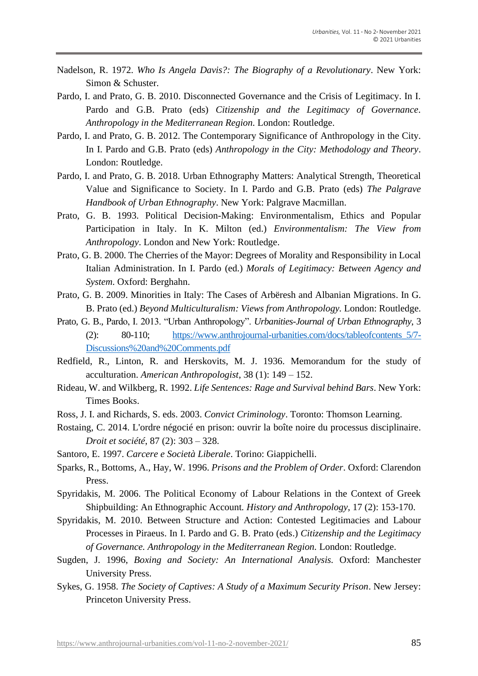- Nadelson, R. 1972. *Who Is Angela Davis?: The Biography of a Revolutionary*. New York: Simon & Schuster.
- Pardo, I. and Prato, G. B. 2010. Disconnected Governance and the Crisis of Legitimacy. In I. Pardo and G.B. Prato (eds) *Citizenship and the Legitimacy of Governance. Anthropology in the Mediterranean Region.* London: Routledge.
- Pardo, I. and Prato, G. B. 2012. The Contemporary Significance of Anthropology in the City. In I. Pardo and G.B. Prato (eds) *Anthropology in the City: Methodology and Theory*. London: Routledge.
- Pardo, I. and Prato, G. B. 2018. Urban Ethnography Matters: Analytical Strength, Theoretical Value and Significance to Society. In I. Pardo and G.B. Prato (eds) *The Palgrave Handbook of Urban Ethnography*. New York: Palgrave Macmillan.
- Prato, G. B. 1993. Political Decision-Making: Environmentalism, Ethics and Popular Participation in Italy. In K. Milton (ed.) *Environmentalism: The View from Anthropology*. London and New York: Routledge.
- Prato, G. B. 2000. The Cherries of the Mayor: Degrees of Morality and Responsibility in Local Italian Administration. In I. Pardo (ed.) *Morals of Legitimacy: Between Agency and System*. Oxford: Berghahn.
- Prato, G. B. 2009. Minorities in Italy: The Cases of Arbëresh and Albanian Migrations. In G. B. Prato (ed.) *Beyond Multiculturalism: Views from Anthropology.* London: Routledge.
- Prato, G. B., Pardo, I. 2013. "Urban Anthropology". *Urbanities*-*Journal of Urban Ethnography*, 3 (2): 80-110; [https://www.anthrojournal-urbanities.com/docs/tableofcontents\\_5/7-](https://www.anthrojournal-urbanities.com/docs/tableofcontents_5/7-Discussions%20and%20Comments.pdf) [Discussions%20and%20Comments.pdf](https://www.anthrojournal-urbanities.com/docs/tableofcontents_5/7-Discussions%20and%20Comments.pdf)
- Redfield, R., Linton, R. and Herskovits, M. J. 1936. Memorandum for the study of acculturation. *American Anthropologist*, 38 (1): 149 – 152.
- Rideau, W. and Wilkberg, R. 1992. *Life Sentences: Rage and Survival behind Bars*. New York: Times Books.
- Ross, J. I. and Richards, S. eds. 2003. *Convict Criminology*. Toronto: Thomson Learning.
- Rostaing, C. 2014. L'ordre négocié en prison: ouvrir la boîte noire du processus disciplinaire. *Droit et société*, 87 (2): 303 – 328.
- Santoro, E. 1997. *Carcere e Società Liberale*. Torino: Giappichelli.
- Sparks, R., Bottoms, A., Hay, W. 1996. *Prisons and the Problem of Order*. Oxford: Clarendon Press.
- Spyridakis, M. 2006. The Political Economy of Labour Relations in the Context of Greek Shipbuilding: An Ethnographic Account*. History and Anthropology*, 17 (2): 153-170.
- Spyridakis, M. 2010. Between Structure and Action: Contested Legitimacies and Labour Processes in Piraeus. In I. Pardo and G. B. Prato (eds.) *Citizenship and the Legitimacy of Governance. Anthropology in the Mediterranean Region.* London: Routledge.
- Sugden, J. 1996, *Boxing and Society: An International Analysis.* Oxford: Manchester University Press.
- Sykes, G. 1958. *The Society of Captives: A Study of a Maximum Security Prison*. New Jersey: Princeton University Press.